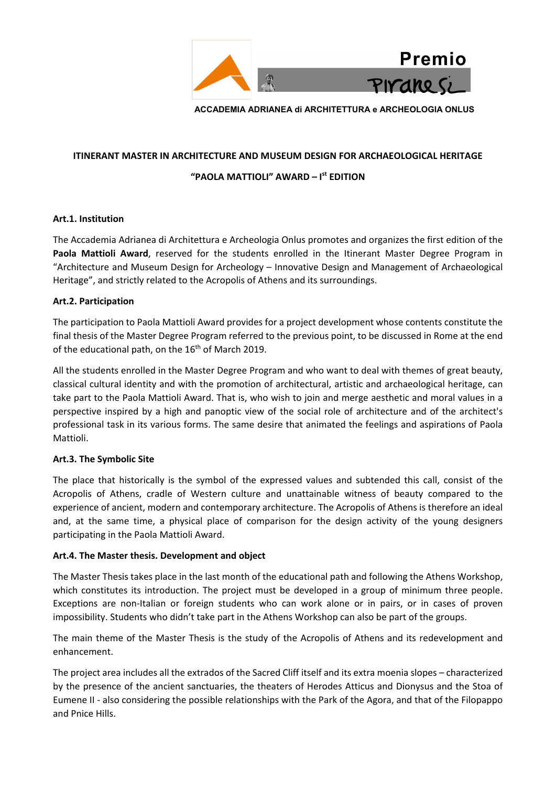

**ACCADEMIA ADRIANEA di ARCHITETTURA e ARCHEOLOGIA ONLUS**

#### **ITINERANT MASTER IN ARCHITECTURE AND MUSEUM DESIGN FOR ARCHAEOLOGICAL HERITAGE**

# **"PAOLA MATTIOLI" AWARD – I st EDITION**

## **Art.1. Institution**

The Accademia Adrianea di Architettura e Archeologia Onlus promotes and organizes the first edition of the Paola Mattioli Award, reserved for the students enrolled in the Itinerant Master Degree Program in "Architecture and Museum Design for Archeology – Innovative Design and Management of Archaeological Heritage", and strictly related to the Acropolis of Athens and its surroundings.

# **Art.2. Participation**

The participation to Paola Mattioli Award provides for a project development whose contents constitute the final thesis of the Master Degree Program referred to the previous point, to be discussed in Rome at the end of the educational path, on the 16<sup>th</sup> of March 2019.

All the students enrolled in the Master Degree Program and who want to deal with themes of great beauty, classical cultural identity and with the promotion of architectural, artistic and archaeological heritage, can take part to the Paola Mattioli Award. That is, who wish to join and merge aesthetic and moral values in a perspective inspired by a high and panoptic view of the social role of architecture and of the architect's professional task in its various forms. The same desire that animated the feelings and aspirations of Paola Mattioli.

## **Art.3. The Symbolic Site**

The place that historically is the symbol of the expressed values and subtended this call, consist of the Acropolis of Athens, cradle of Western culture and unattainable witness of beauty compared to the experience of ancient, modern and contemporary architecture. The Acropolis of Athens is therefore an ideal and, at the same time, a physical place of comparison for the design activity of the young designers participating in the Paola Mattioli Award.

## **Art.4. The Master thesis. Development and object**

The Master Thesis takes place in the last month of the educational path and following the Athens Workshop, which constitutes its introduction. The project must be developed in a group of minimum three people. Exceptions are non-Italian or foreign students who can work alone or in pairs, or in cases of proven impossibility. Students who didn't take part in the Athens Workshop can also be part of the groups.

The main theme of the Master Thesis is the study of the Acropolis of Athens and its redevelopment and enhancement.

The project area includes all the extrados of the Sacred Cliff itself and its extra moenia slopes – characterized by the presence of the ancient sanctuaries, the theaters of Herodes Atticus and Dionysus and the Stoa of Eumene II - also considering the possible relationships with the Park of the Agora, and that of the Filopappo and Pnice Hills.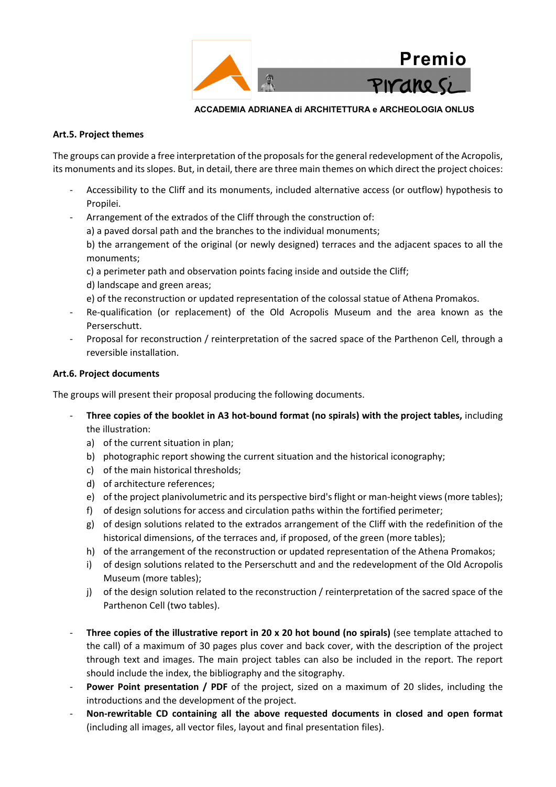

## **ACCADEMIA ADRIANEA di ARCHITETTURA e ARCHEOLOGIA ONLUS**

# **Art.5. Project themes**

The groups can provide a free interpretation of the proposals for the general redevelopment of the Acropolis, its monuments and its slopes. But, in detail, there are three main themes on which direct the project choices:

- Accessibility to the Cliff and its monuments, included alternative access (or outflow) hypothesis to Propilei.
- Arrangement of the extrados of the Cliff through the construction of:
	- a) a paved dorsal path and the branches to the individual monuments;

b) the arrangement of the original (or newly designed) terraces and the adjacent spaces to all the monuments;

c) a perimeter path and observation points facing inside and outside the Cliff;

d) landscape and green areas;

e) of the reconstruction or updated representation of the colossal statue of Athena Promakos.

- Re-qualification (or replacement) of the Old Acropolis Museum and the area known as the Perserschutt.
- Proposal for reconstruction / reinterpretation of the sacred space of the Parthenon Cell, through a reversible installation.

# **Art.6. Project documents**

The groups will present their proposal producing the following documents.

- **Three copies of the booklet in A3 hot-bound format (no spirals) with the project tables,** including the illustration:
	- a) of the current situation in plan;
	- b) photographic report showing the current situation and the historical iconography;
	- c) of the main historical thresholds;
	- d) of architecture references;
	- e) of the project planivolumetric and its perspective bird's flight or man-height views (more tables);
	- f) of design solutions for access and circulation paths within the fortified perimeter;
	- g) of design solutions related to the extrados arrangement of the Cliff with the redefinition of the historical dimensions, of the terraces and, if proposed, of the green (more tables);
	- h) of the arrangement of the reconstruction or updated representation of the Athena Promakos;
	- i) of design solutions related to the Perserschutt and and the redevelopment of the Old Acropolis Museum (more tables);
	- j) of the design solution related to the reconstruction / reinterpretation of the sacred space of the Parthenon Cell (two tables).
- **Three copies of the illustrative report in 20 x 20 hot bound (no spirals)** (see template attached to the call) of a maximum of 30 pages plus cover and back cover, with the description of the project through text and images. The main project tables can also be included in the report. The report should include the index, the bibliography and the sitography.
- **Power Point presentation / PDF** of the project, sized on a maximum of 20 slides, including the introductions and the development of the project.
- **Non-rewritable CD containing all the above requested documents in closed and open format** (including all images, all vector files, layout and final presentation files).